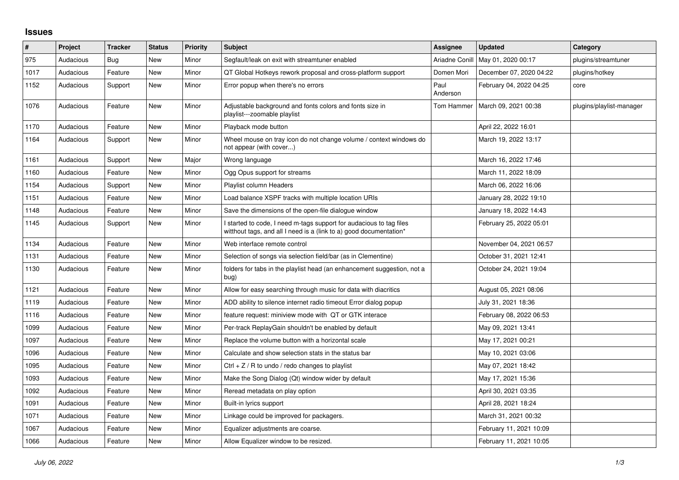## **Issues**

| #    | Project   | <b>Tracker</b> | <b>Status</b> | <b>Priority</b> | <b>Subject</b>                                                                                                                            | <b>Assignee</b>  | <b>Updated</b>          | Category                 |
|------|-----------|----------------|---------------|-----------------|-------------------------------------------------------------------------------------------------------------------------------------------|------------------|-------------------------|--------------------------|
| 975  | Audacious | Bug            | <b>New</b>    | Minor           | Segfault/leak on exit with streamtuner enabled                                                                                            | Ariadne Conill   | May 01, 2020 00:17      | plugins/streamtuner      |
| 1017 | Audacious | Feature        | New           | Minor           | QT Global Hotkeys rework proposal and cross-platform support                                                                              | Domen Mori       | December 07, 2020 04:22 | plugins/hotkey           |
| 1152 | Audacious | Support        | <b>New</b>    | Minor           | Error popup when there's no errors                                                                                                        | Paul<br>Anderson | February 04, 2022 04:25 | core                     |
| 1076 | Audacious | Feature        | <b>New</b>    | Minor           | Adjustable background and fonts colors and fonts size in<br>playlist---zoomable playlist                                                  | Tom Hammer       | March 09, 2021 00:38    | plugins/playlist-manager |
| 1170 | Audacious | Feature        | New           | Minor           | Playback mode button                                                                                                                      |                  | April 22, 2022 16:01    |                          |
| 1164 | Audacious | Support        | <b>New</b>    | Minor           | Wheel mouse on tray icon do not change volume / context windows do<br>not appear (with cover)                                             |                  | March 19, 2022 13:17    |                          |
| 1161 | Audacious | Support        | <b>New</b>    | Major           | Wrong language                                                                                                                            |                  | March 16, 2022 17:46    |                          |
| 1160 | Audacious | Feature        | New           | Minor           | Ogg Opus support for streams                                                                                                              |                  | March 11, 2022 18:09    |                          |
| 1154 | Audacious | Support        | <b>New</b>    | Minor           | Playlist column Headers                                                                                                                   |                  | March 06, 2022 16:06    |                          |
| 1151 | Audacious | Feature        | New           | Minor           | Load balance XSPF tracks with multiple location URIs                                                                                      |                  | January 28, 2022 19:10  |                          |
| 1148 | Audacious | Feature        | New           | Minor           | Save the dimensions of the open-file dialogue window                                                                                      |                  | January 18, 2022 14:43  |                          |
| 1145 | Audacious | Support        | New           | Minor           | I started to code, I need m-tags support for audacious to tag files<br>witthout tags, and all I need is a (link to a) good documentation* |                  | February 25, 2022 05:01 |                          |
| 1134 | Audacious | Feature        | <b>New</b>    | Minor           | Web interface remote control                                                                                                              |                  | November 04, 2021 06:57 |                          |
| 1131 | Audacious | Feature        | <b>New</b>    | Minor           | Selection of songs via selection field/bar (as in Clementine)                                                                             |                  | October 31, 2021 12:41  |                          |
| 1130 | Audacious | Feature        | <b>New</b>    | Minor           | folders for tabs in the playlist head (an enhancement suggestion, not a<br>bug)                                                           |                  | October 24, 2021 19:04  |                          |
| 1121 | Audacious | Feature        | <b>New</b>    | Minor           | Allow for easy searching through music for data with diacritics                                                                           |                  | August 05, 2021 08:06   |                          |
| 1119 | Audacious | Feature        | New           | Minor           | ADD ability to silence internet radio timeout Error dialog popup                                                                          |                  | July 31, 2021 18:36     |                          |
| 1116 | Audacious | Feature        | New           | Minor           | feature request: miniview mode with QT or GTK interace                                                                                    |                  | February 08, 2022 06:53 |                          |
| 1099 | Audacious | Feature        | New           | Minor           | Per-track ReplayGain shouldn't be enabled by default                                                                                      |                  | May 09, 2021 13:41      |                          |
| 1097 | Audacious | Feature        | New           | Minor           | Replace the volume button with a horizontal scale                                                                                         |                  | May 17, 2021 00:21      |                          |
| 1096 | Audacious | Feature        | <b>New</b>    | Minor           | Calculate and show selection stats in the status bar                                                                                      |                  | May 10, 2021 03:06      |                          |
| 1095 | Audacious | Feature        | New           | Minor           | Ctrl $+$ Z / R to undo / redo changes to playlist                                                                                         |                  | May 07, 2021 18:42      |                          |
| 1093 | Audacious | Feature        | New           | Minor           | Make the Song Dialog (Qt) window wider by default                                                                                         |                  | May 17, 2021 15:36      |                          |
| 1092 | Audacious | Feature        | New           | Minor           | Reread metadata on play option                                                                                                            |                  | April 30, 2021 03:35    |                          |
| 1091 | Audacious | Feature        | <b>New</b>    | Minor           | Built-in lyrics support                                                                                                                   |                  | April 28, 2021 18:24    |                          |
| 1071 | Audacious | Feature        | New           | Minor           | Linkage could be improved for packagers.                                                                                                  |                  | March 31, 2021 00:32    |                          |
| 1067 | Audacious | Feature        | <b>New</b>    | Minor           | Equalizer adjustments are coarse.                                                                                                         |                  | February 11, 2021 10:09 |                          |
| 1066 | Audacious | Feature        | New           | Minor           | Allow Equalizer window to be resized.                                                                                                     |                  | February 11, 2021 10:05 |                          |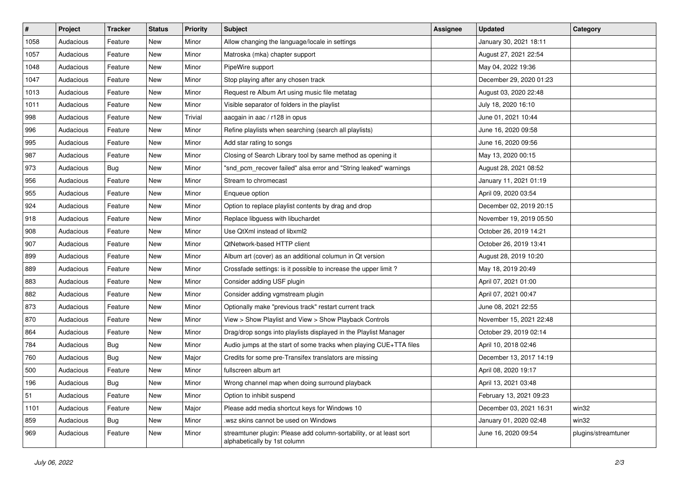| $\vert$ # | Project   | <b>Tracker</b> | <b>Status</b> | <b>Priority</b> | <b>Subject</b>                                                                                      | <b>Assignee</b> | <b>Updated</b>          | Category            |
|-----------|-----------|----------------|---------------|-----------------|-----------------------------------------------------------------------------------------------------|-----------------|-------------------------|---------------------|
| 1058      | Audacious | Feature        | New           | Minor           | Allow changing the language/locale in settings                                                      |                 | January 30, 2021 18:11  |                     |
| 1057      | Audacious | Feature        | New           | Minor           | Matroska (mka) chapter support                                                                      |                 | August 27, 2021 22:54   |                     |
| 1048      | Audacious | Feature        | New           | Minor           | PipeWire support                                                                                    |                 | May 04, 2022 19:36      |                     |
| 1047      | Audacious | Feature        | New           | Minor           | Stop playing after any chosen track                                                                 |                 | December 29, 2020 01:23 |                     |
| 1013      | Audacious | Feature        | <b>New</b>    | Minor           | Request re Album Art using music file metatag                                                       |                 | August 03, 2020 22:48   |                     |
| 1011      | Audacious | Feature        | New           | Minor           | Visible separator of folders in the playlist                                                        |                 | July 18, 2020 16:10     |                     |
| 998       | Audacious | Feature        | New           | Trivial         | aacgain in aac / r128 in opus                                                                       |                 | June 01, 2021 10:44     |                     |
| 996       | Audacious | Feature        | New           | Minor           | Refine playlists when searching (search all playlists)                                              |                 | June 16, 2020 09:58     |                     |
| 995       | Audacious | Feature        | New           | Minor           | Add star rating to songs                                                                            |                 | June 16, 2020 09:56     |                     |
| 987       | Audacious | Feature        | New           | Minor           | Closing of Search Library tool by same method as opening it                                         |                 | May 13, 2020 00:15      |                     |
| 973       | Audacious | <b>Bug</b>     | New           | Minor           | "snd_pcm_recover failed" alsa error and "String leaked" warnings                                    |                 | August 28, 2021 08:52   |                     |
| 956       | Audacious | Feature        | New           | Minor           | Stream to chromecast                                                                                |                 | January 11, 2021 01:19  |                     |
| 955       | Audacious | Feature        | New           | Minor           | Enqueue option                                                                                      |                 | April 09, 2020 03:54    |                     |
| 924       | Audacious | Feature        | New           | Minor           | Option to replace playlist contents by drag and drop                                                |                 | December 02, 2019 20:15 |                     |
| 918       | Audacious | Feature        | <b>New</b>    | Minor           | Replace libguess with libuchardet                                                                   |                 | November 19, 2019 05:50 |                     |
| 908       | Audacious | Feature        | New           | Minor           | Use QtXml instead of libxml2                                                                        |                 | October 26, 2019 14:21  |                     |
| 907       | Audacious | Feature        | New           | Minor           | QtNetwork-based HTTP client                                                                         |                 | October 26, 2019 13:41  |                     |
| 899       | Audacious | Feature        | New           | Minor           | Album art (cover) as an additional columun in Qt version                                            |                 | August 28, 2019 10:20   |                     |
| 889       | Audacious | Feature        | New           | Minor           | Crossfade settings: is it possible to increase the upper limit?                                     |                 | May 18, 2019 20:49      |                     |
| 883       | Audacious | Feature        | New           | Minor           | Consider adding USF plugin                                                                          |                 | April 07, 2021 01:00    |                     |
| 882       | Audacious | Feature        | New           | Minor           | Consider adding vgmstream plugin                                                                    |                 | April 07, 2021 00:47    |                     |
| 873       | Audacious | Feature        | New           | Minor           | Optionally make "previous track" restart current track                                              |                 | June 08, 2021 22:55     |                     |
| 870       | Audacious | Feature        | New           | Minor           | View > Show Playlist and View > Show Playback Controls                                              |                 | November 15, 2021 22:48 |                     |
| 864       | Audacious | Feature        | New           | Minor           | Drag/drop songs into playlists displayed in the Playlist Manager                                    |                 | October 29, 2019 02:14  |                     |
| 784       | Audacious | <b>Bug</b>     | New           | Minor           | Audio jumps at the start of some tracks when playing CUE+TTA files                                  |                 | April 10, 2018 02:46    |                     |
| 760       | Audacious | Bug            | New           | Major           | Credits for some pre-Transifex translators are missing                                              |                 | December 13, 2017 14:19 |                     |
| 500       | Audacious | Feature        | New           | Minor           | fullscreen album art                                                                                |                 | April 08, 2020 19:17    |                     |
| 196       | Audacious | Bug            | New           | Minor           | Wrong channel map when doing surround playback                                                      |                 | April 13, 2021 03:48    |                     |
| 51        | Audacious | Feature        | New           | Minor           | Option to inhibit suspend                                                                           |                 | February 13, 2021 09:23 |                     |
| 1101      | Audacious | Feature        | New           | Major           | Please add media shortcut keys for Windows 10                                                       |                 | December 03, 2021 16:31 | win32               |
| 859       | Audacious | <b>Bug</b>     | New           | Minor           | wsz skins cannot be used on Windows                                                                 |                 | January 01, 2020 02:48  | win32               |
| 969       | Audacious | Feature        | New           | Minor           | streamtuner plugin: Please add column-sortability, or at least sort<br>alphabetically by 1st column |                 | June 16, 2020 09:54     | plugins/streamtuner |